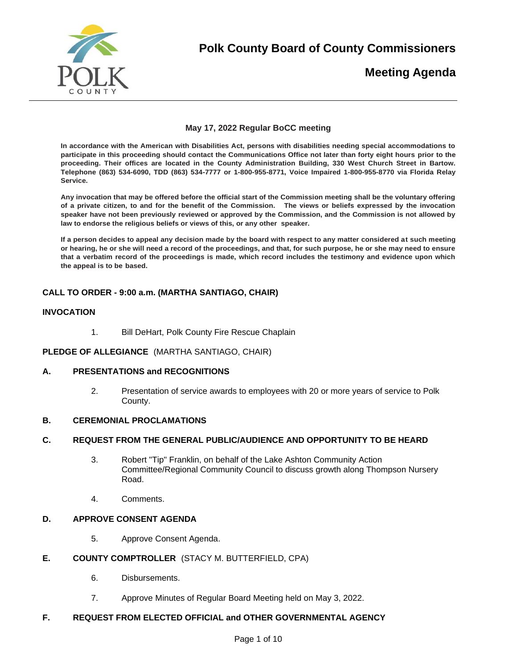

**Polk County Board of County Commissioners** 

# **Meeting Agenda**

# **May 17, 2022 Regular BoCC meeting**

**In accordance with the American with Disabilities Act, persons with disabilities needing special accommodations to participate in this proceeding should contact the Communications Office not later than forty eight hours prior to the proceeding. Their offices are located in the County Administration Building, 330 West Church Street in Bartow. Telephone (863) 534-6090, TDD (863) 534-7777 or 1-800-955-8771, Voice Impaired 1-800-955-8770 via Florida Relay Service.** 

**Any invocation that may be offered before the official start of the Commission meeting shall be the voluntary offering of a private citizen, to and for the benefit of the Commission. The views or beliefs expressed by the invocation speaker have not been previously reviewed or approved by the Commission, and the Commission is not allowed by law to endorse the religious beliefs or views of this, or any other speaker.**

**If a person decides to appeal any decision made by the board with respect to any matter considered at such meeting or hearing, he or she will need a record of the proceedings, and that, for such purpose, he or she may need to ensure that a verbatim record of the proceedings is made, which record includes the testimony and evidence upon which the appeal is to be based.** 

# **CALL TO ORDER - 9:00 a.m. (MARTHA SANTIAGO, CHAIR)**

## **INVOCATION**

1. Bill DeHart, Polk County Fire Rescue Chaplain

## **PLEDGE OF ALLEGIANCE** (MARTHA SANTIAGO, CHAIR)

## **A. PRESENTATIONS and RECOGNITIONS**

2. Presentation of service awards to employees with 20 or more years of service to Polk County.

# **B. CEREMONIAL PROCLAMATIONS**

## **C. REQUEST FROM THE GENERAL PUBLIC/AUDIENCE AND OPPORTUNITY TO BE HEARD**

- 3. Robert "Tip" Franklin, on behalf of the Lake Ashton Community Action Committee/Regional Community Council to discuss growth along Thompson Nursery Road.
- 4. Comments.

## **D. APPROVE CONSENT AGENDA**

5. Approve Consent Agenda.

## **E. COUNTY COMPTROLLER** (STACY M. BUTTERFIELD, CPA)

- 6. Disbursements.
- 7. Approve Minutes of Regular Board Meeting held on May 3, 2022.

# **F. REQUEST FROM ELECTED OFFICIAL and OTHER GOVERNMENTAL AGENCY**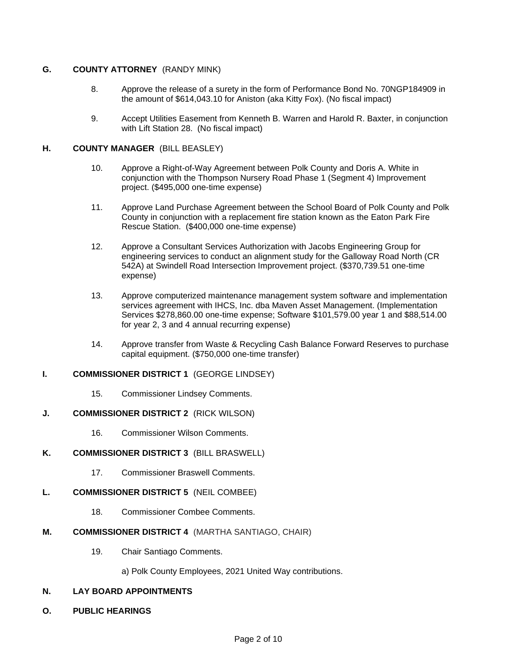# **G. COUNTY ATTORNEY** (RANDY MINK)

- 8. Approve the release of a surety in the form of Performance Bond No. 70NGP184909 in the amount of \$614,043.10 for Aniston (aka Kitty Fox). (No fiscal impact)
- 9. Accept Utilities Easement from Kenneth B. Warren and Harold R. Baxter, in conjunction with Lift Station 28. (No fiscal impact)

# **H. COUNTY MANAGER** (BILL BEASLEY)

- 10. Approve a Right-of-Way Agreement between Polk County and Doris A. White in conjunction with the Thompson Nursery Road Phase 1 (Segment 4) Improvement project. (\$495,000 one-time expense)
- 11. Approve Land Purchase Agreement between the School Board of Polk County and Polk County in conjunction with a replacement fire station known as the Eaton Park Fire Rescue Station. (\$400,000 one-time expense)
- 12. Approve a Consultant Services Authorization with Jacobs Engineering Group for engineering services to conduct an alignment study for the Galloway Road North (CR 542A) at Swindell Road Intersection Improvement project. (\$370,739.51 one-time expense)
- 13. Approve computerized maintenance management system software and implementation services agreement with IHCS, Inc. dba Maven Asset Management. (Implementation Services \$278,860.00 one-time expense; Software \$101,579.00 year 1 and \$88,514.00 for year 2, 3 and 4 annual recurring expense)
- 14. Approve transfer from Waste & Recycling Cash Balance Forward Reserves to purchase capital equipment. (\$750,000 one-time transfer)

# **I. COMMISSIONER DISTRICT 1** (GEORGE LINDSEY)

15. Commissioner Lindsey Comments.

# **J. COMMISSIONER DISTRICT 2** (RICK WILSON)

16. Commissioner Wilson Comments.

# **K. COMMISSIONER DISTRICT 3** (BILL BRASWELL)

17. Commissioner Braswell Comments.

# **L. COMMISSIONER DISTRICT 5** (NEIL COMBEE)

18. Commissioner Combee Comments.

## **M. COMMISSIONER DISTRICT 4** (MARTHA SANTIAGO, CHAIR)

- 19. Chair Santiago Comments.
	- a) Polk County Employees, 2021 United Way contributions.

## **N. LAY BOARD APPOINTMENTS**

**O. PUBLIC HEARINGS**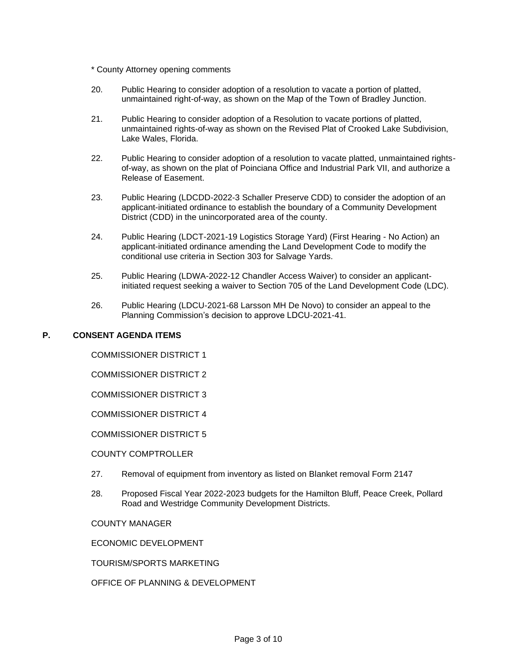- \* County Attorney opening comments
- 20. Public Hearing to consider adoption of a resolution to vacate a portion of platted, unmaintained right-of-way, as shown on the Map of the Town of Bradley Junction.
- 21. Public Hearing to consider adoption of a Resolution to vacate portions of platted, unmaintained rights-of-way as shown on the Revised Plat of Crooked Lake Subdivision, Lake Wales, Florida.
- 22. Public Hearing to consider adoption of a resolution to vacate platted, unmaintained rightsof-way, as shown on the plat of Poinciana Office and Industrial Park VII, and authorize a Release of Easement.
- 23. Public Hearing (LDCDD-2022-3 Schaller Preserve CDD) to consider the adoption of an applicant-initiated ordinance to establish the boundary of a Community Development District (CDD) in the unincorporated area of the county.
- 24. Public Hearing (LDCT-2021-19 Logistics Storage Yard) (First Hearing No Action) an applicant-initiated ordinance amending the Land Development Code to modify the conditional use criteria in Section 303 for Salvage Yards.
- 25. Public Hearing (LDWA-2022-12 Chandler Access Waiver) to consider an applicantinitiated request seeking a waiver to Section 705 of the Land Development Code (LDC).
- 26. Public Hearing (LDCU-2021-68 Larsson MH De Novo) to consider an appeal to the Planning Commission's decision to approve LDCU-2021-41.

# **P. CONSENT AGENDA ITEMS**

COMMISSIONER DISTRICT 1

COMMISSIONER DISTRICT 2

COMMISSIONER DISTRICT 3

COMMISSIONER DISTRICT 4

COMMISSIONER DISTRICT 5

## COUNTY COMPTROLLER

- 27. Removal of equipment from inventory as listed on Blanket removal Form 2147
- 28. Proposed Fiscal Year 2022-2023 budgets for the Hamilton Bluff, Peace Creek, Pollard Road and Westridge Community Development Districts.

COUNTY MANAGER

ECONOMIC DEVELOPMENT

TOURISM/SPORTS MARKETING

OFFICE OF PLANNING & DEVELOPMENT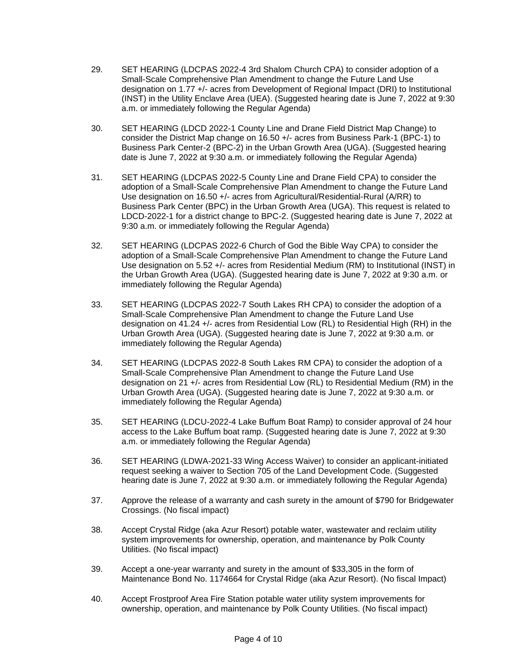- 29. SET HEARING (LDCPAS 2022-4 3rd Shalom Church CPA) to consider adoption of a Small-Scale Comprehensive Plan Amendment to change the Future Land Use designation on 1.77 +/- acres from Development of Regional Impact (DRI) to Institutional (INST) in the Utility Enclave Area (UEA). (Suggested hearing date is June 7, 2022 at 9:30 a.m. or immediately following the Regular Agenda)
- 30. SET HEARING (LDCD 2022-1 County Line and Drane Field District Map Change) to consider the District Map change on 16.50 +/- acres from Business Park-1 (BPC-1) to Business Park Center-2 (BPC-2) in the Urban Growth Area (UGA). (Suggested hearing date is June 7, 2022 at 9:30 a.m. or immediately following the Regular Agenda)
- 31. SET HEARING (LDCPAS 2022-5 County Line and Drane Field CPA) to consider the adoption of a Small-Scale Comprehensive Plan Amendment to change the Future Land Use designation on 16.50 +/- acres from Agricultural/Residential-Rural (A/RR) to Business Park Center (BPC) in the Urban Growth Area (UGA). This request is related to LDCD-2022-1 for a district change to BPC-2. (Suggested hearing date is June 7, 2022 at 9:30 a.m. or immediately following the Regular Agenda)
- 32. SET HEARING (LDCPAS 2022-6 Church of God the Bible Way CPA) to consider the adoption of a Small-Scale Comprehensive Plan Amendment to change the Future Land Use designation on 5.52 +/- acres from Residential Medium (RM) to Institutional (INST) in the Urban Growth Area (UGA). (Suggested hearing date is June 7, 2022 at 9:30 a.m. or immediately following the Regular Agenda)
- 33. SET HEARING (LDCPAS 2022-7 South Lakes RH CPA) to consider the adoption of a Small-Scale Comprehensive Plan Amendment to change the Future Land Use designation on 41.24 +/- acres from Residential Low (RL) to Residential High (RH) in the Urban Growth Area (UGA). (Suggested hearing date is June 7, 2022 at 9:30 a.m. or immediately following the Regular Agenda)
- 34. SET HEARING (LDCPAS 2022-8 South Lakes RM CPA) to consider the adoption of a Small-Scale Comprehensive Plan Amendment to change the Future Land Use designation on 21 +/- acres from Residential Low (RL) to Residential Medium (RM) in the Urban Growth Area (UGA). (Suggested hearing date is June 7, 2022 at 9:30 a.m. or immediately following the Regular Agenda)
- 35. SET HEARING (LDCU-2022-4 Lake Buffum Boat Ramp) to consider approval of 24 hour access to the Lake Buffum boat ramp. (Suggested hearing date is June 7, 2022 at 9:30 a.m. or immediately following the Regular Agenda)
- 36. SET HEARING (LDWA-2021-33 Wing Access Waiver) to consider an applicant-initiated request seeking a waiver to Section 705 of the Land Development Code. (Suggested hearing date is June 7, 2022 at 9:30 a.m. or immediately following the Regular Agenda)
- 37. Approve the release of a warranty and cash surety in the amount of \$790 for Bridgewater Crossings. (No fiscal impact)
- 38. Accept Crystal Ridge (aka Azur Resort) potable water, wastewater and reclaim utility system improvements for ownership, operation, and maintenance by Polk County Utilities. (No fiscal impact)
- 39. Accept a one-year warranty and surety in the amount of \$33,305 in the form of Maintenance Bond No. 1174664 for Crystal Ridge (aka Azur Resort). (No fiscal Impact)
- 40. Accept Frostproof Area Fire Station potable water utility system improvements for ownership, operation, and maintenance by Polk County Utilities. (No fiscal impact)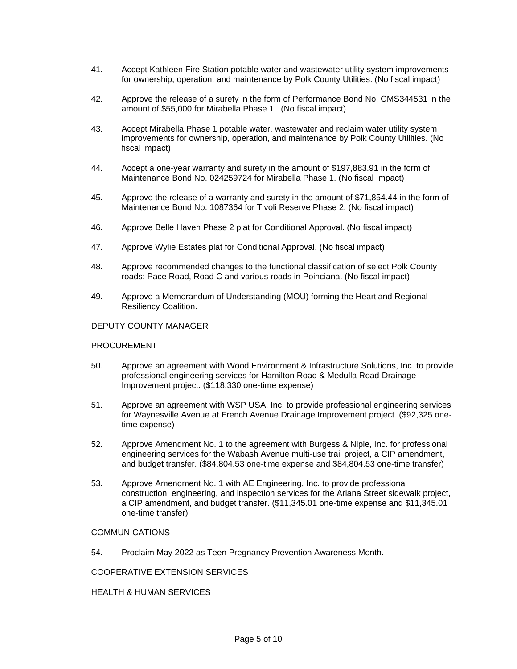- 41. Accept Kathleen Fire Station potable water and wastewater utility system improvements for ownership, operation, and maintenance by Polk County Utilities. (No fiscal impact)
- 42. Approve the release of a surety in the form of Performance Bond No. CMS344531 in the amount of \$55,000 for Mirabella Phase 1. (No fiscal impact)
- 43. Accept Mirabella Phase 1 potable water, wastewater and reclaim water utility system improvements for ownership, operation, and maintenance by Polk County Utilities. (No fiscal impact)
- 44. Accept a one-year warranty and surety in the amount of \$197,883.91 in the form of Maintenance Bond No. 024259724 for Mirabella Phase 1. (No fiscal Impact)
- 45. Approve the release of a warranty and surety in the amount of \$71,854.44 in the form of Maintenance Bond No. 1087364 for Tivoli Reserve Phase 2. (No fiscal impact)
- 46. Approve Belle Haven Phase 2 plat for Conditional Approval. (No fiscal impact)
- 47. Approve Wylie Estates plat for Conditional Approval. (No fiscal impact)
- 48. Approve recommended changes to the functional classification of select Polk County roads: Pace Road, Road C and various roads in Poinciana. (No fiscal impact)
- 49. Approve a Memorandum of Understanding (MOU) forming the Heartland Regional Resiliency Coalition.

#### DEPUTY COUNTY MANAGER

#### **PROCUREMENT**

- 50. Approve an agreement with Wood Environment & Infrastructure Solutions, Inc. to provide professional engineering services for Hamilton Road & Medulla Road Drainage Improvement project. (\$118,330 one-time expense)
- 51. Approve an agreement with WSP USA, Inc. to provide professional engineering services for Waynesville Avenue at French Avenue Drainage Improvement project. (\$92,325 onetime expense)
- 52. Approve Amendment No. 1 to the agreement with Burgess & Niple, Inc. for professional engineering services for the Wabash Avenue multi-use trail project, a CIP amendment, and budget transfer. (\$84,804.53 one-time expense and \$84,804.53 one-time transfer)
- 53. Approve Amendment No. 1 with AE Engineering, Inc. to provide professional construction, engineering, and inspection services for the Ariana Street sidewalk project, a CIP amendment, and budget transfer. (\$11,345.01 one-time expense and \$11,345.01 one-time transfer)

#### COMMUNICATIONS

54. Proclaim May 2022 as Teen Pregnancy Prevention Awareness Month.

COOPERATIVE EXTENSION SERVICES

#### HEALTH & HUMAN SERVICES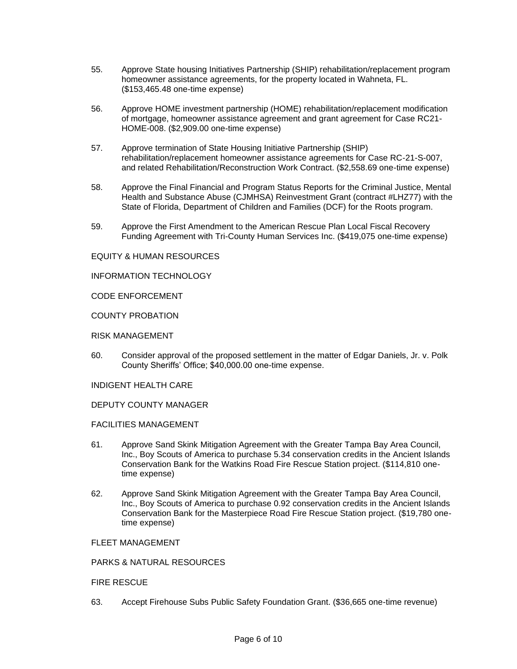- 55. Approve State housing Initiatives Partnership (SHIP) rehabilitation/replacement program homeowner assistance agreements, for the property located in Wahneta, FL. (\$153,465.48 one-time expense)
- 56. Approve HOME investment partnership (HOME) rehabilitation/replacement modification of mortgage, homeowner assistance agreement and grant agreement for Case RC21- HOME-008. (\$2,909.00 one-time expense)
- 57. Approve termination of State Housing Initiative Partnership (SHIP) rehabilitation/replacement homeowner assistance agreements for Case RC-21-S-007, and related Rehabilitation/Reconstruction Work Contract. (\$2,558.69 one-time expense)
- 58. Approve the Final Financial and Program Status Reports for the Criminal Justice, Mental Health and Substance Abuse (CJMHSA) Reinvestment Grant (contract #LHZ77) with the State of Florida, Department of Children and Families (DCF) for the Roots program.
- 59. Approve the First Amendment to the American Rescue Plan Local Fiscal Recovery Funding Agreement with Tri-County Human Services Inc. (\$419,075 one-time expense)

## EQUITY & HUMAN RESOURCES

INFORMATION TECHNOLOGY

CODE ENFORCEMENT

COUNTY PROBATION

## RISK MANAGEMENT

60. Consider approval of the proposed settlement in the matter of Edgar Daniels, Jr. v. Polk County Sheriffs' Office; \$40,000.00 one-time expense.

INDIGENT HEALTH CARE

DEPUTY COUNTY MANAGER

## FACILITIES MANAGEMENT

- 61. Approve Sand Skink Mitigation Agreement with the Greater Tampa Bay Area Council, Inc., Boy Scouts of America to purchase 5.34 conservation credits in the Ancient Islands Conservation Bank for the Watkins Road Fire Rescue Station project. (\$114,810 onetime expense)
- 62. Approve Sand Skink Mitigation Agreement with the Greater Tampa Bay Area Council, Inc., Boy Scouts of America to purchase 0.92 conservation credits in the Ancient Islands Conservation Bank for the Masterpiece Road Fire Rescue Station project. (\$19,780 onetime expense)

## FLEET MANAGEMENT

## PARKS & NATURAL RESOURCES

## FIRE RESCUE

63. Accept Firehouse Subs Public Safety Foundation Grant. (\$36,665 one-time revenue)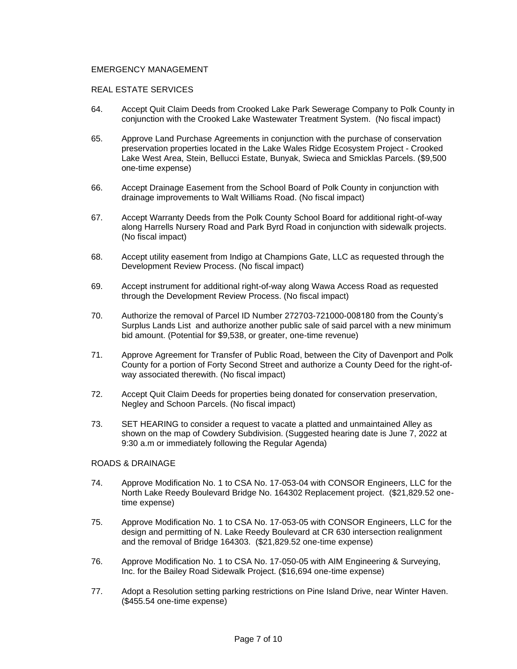## EMERGENCY MANAGEMENT

## REAL ESTATE SERVICES

- 64. Accept Quit Claim Deeds from Crooked Lake Park Sewerage Company to Polk County in conjunction with the Crooked Lake Wastewater Treatment System. (No fiscal impact)
- 65. Approve Land Purchase Agreements in conjunction with the purchase of conservation preservation properties located in the Lake Wales Ridge Ecosystem Project - Crooked Lake West Area, Stein, Bellucci Estate, Bunyak, Swieca and Smicklas Parcels. (\$9,500 one-time expense)
- 66. Accept Drainage Easement from the School Board of Polk County in conjunction with drainage improvements to Walt Williams Road. (No fiscal impact)
- 67. Accept Warranty Deeds from the Polk County School Board for additional right-of-way along Harrells Nursery Road and Park Byrd Road in conjunction with sidewalk projects. (No fiscal impact)
- 68. Accept utility easement from Indigo at Champions Gate, LLC as requested through the Development Review Process. (No fiscal impact)
- 69. Accept instrument for additional right-of-way along Wawa Access Road as requested through the Development Review Process. (No fiscal impact)
- 70. Authorize the removal of Parcel ID Number 272703-721000-008180 from the County's Surplus Lands List and authorize another public sale of said parcel with a new minimum bid amount. (Potential for \$9,538, or greater, one-time revenue)
- 71. Approve Agreement for Transfer of Public Road, between the City of Davenport and Polk County for a portion of Forty Second Street and authorize a County Deed for the right-ofway associated therewith. (No fiscal impact)
- 72. Accept Quit Claim Deeds for properties being donated for conservation preservation, Negley and Schoon Parcels. (No fiscal impact)
- 73. SET HEARING to consider a request to vacate a platted and unmaintained Alley as shown on the map of Cowdery Subdivision. (Suggested hearing date is June 7, 2022 at 9:30 a.m or immediately following the Regular Agenda)

#### ROADS & DRAINAGE

- 74. Approve Modification No. 1 to CSA No. 17-053-04 with CONSOR Engineers, LLC for the North Lake Reedy Boulevard Bridge No. 164302 Replacement project. (\$21,829.52 onetime expense)
- 75. Approve Modification No. 1 to CSA No. 17-053-05 with CONSOR Engineers, LLC for the design and permitting of N. Lake Reedy Boulevard at CR 630 intersection realignment and the removal of Bridge 164303. (\$21,829.52 one-time expense)
- 76. Approve Modification No. 1 to CSA No. 17-050-05 with AIM Engineering & Surveying, Inc. for the Bailey Road Sidewalk Project. (\$16,694 one-time expense)
- 77. Adopt a Resolution setting parking restrictions on Pine Island Drive, near Winter Haven. (\$455.54 one-time expense)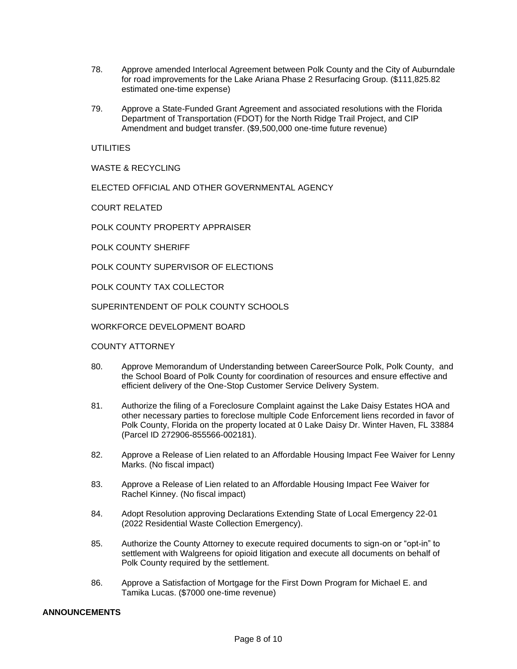- 78. Approve amended Interlocal Agreement between Polk County and the City of Auburndale for road improvements for the Lake Ariana Phase 2 Resurfacing Group. (\$111,825.82 estimated one-time expense)
- 79. Approve a State-Funded Grant Agreement and associated resolutions with the Florida Department of Transportation (FDOT) for the North Ridge Trail Project, and CIP Amendment and budget transfer. (\$9,500,000 one-time future revenue)

## UTILITIES

WASTE & RECYCLING

ELECTED OFFICIAL AND OTHER GOVERNMENTAL AGENCY

COURT RELATED

POLK COUNTY PROPERTY APPRAISER

POLK COUNTY SHERIFF

POLK COUNTY SUPERVISOR OF ELECTIONS

POLK COUNTY TAX COLLECTOR

SUPERINTENDENT OF POLK COUNTY SCHOOLS

WORKFORCE DEVELOPMENT BOARD

#### COUNTY ATTORNEY

- 80. Approve Memorandum of Understanding between CareerSource Polk, Polk County, and the School Board of Polk County for coordination of resources and ensure effective and efficient delivery of the One-Stop Customer Service Delivery System.
- 81. Authorize the filing of a Foreclosure Complaint against the Lake Daisy Estates HOA and other necessary parties to foreclose multiple Code Enforcement liens recorded in favor of Polk County, Florida on the property located at 0 Lake Daisy Dr. Winter Haven, FL 33884 (Parcel ID 272906-855566-002181).
- 82. Approve a Release of Lien related to an Affordable Housing Impact Fee Waiver for Lenny Marks. (No fiscal impact)
- 83. Approve a Release of Lien related to an Affordable Housing Impact Fee Waiver for Rachel Kinney. (No fiscal impact)
- 84. Adopt Resolution approving Declarations Extending State of Local Emergency 22-01 (2022 Residential Waste Collection Emergency).
- 85. Authorize the County Attorney to execute required documents to sign-on or "opt-in" to settlement with Walgreens for opioid litigation and execute all documents on behalf of Polk County required by the settlement.
- 86. Approve a Satisfaction of Mortgage for the First Down Program for Michael E. and Tamika Lucas. (\$7000 one-time revenue)

#### **ANNOUNCEMENTS**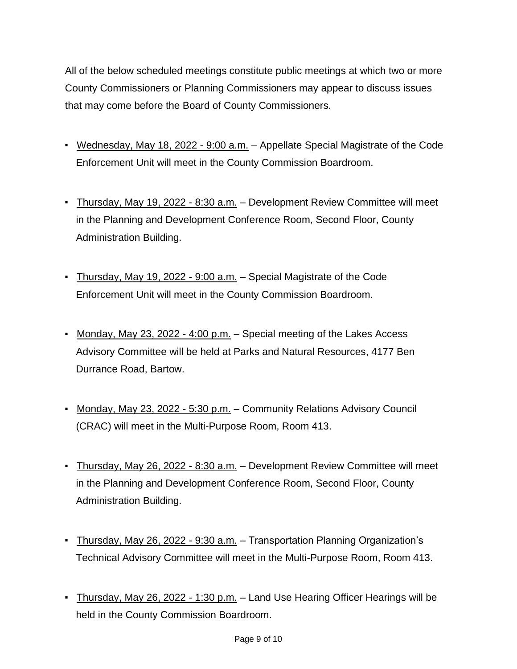All of the below scheduled meetings constitute public meetings at which two or more County Commissioners or Planning Commissioners may appear to discuss issues that may come before the Board of County Commissioners.

- Wednesday, May 18, 2022 9:00 a.m. Appellate Special Magistrate of the Code Enforcement Unit will meet in the County Commission Boardroom.
- Thursday, May 19, 2022 8:30 a.m. Development Review Committee will meet in the Planning and Development Conference Room, Second Floor, County Administration Building.
- Thursday, May 19, 2022 9:00 a.m. Special Magistrate of the Code Enforcement Unit will meet in the County Commission Boardroom.
- Monday, May 23, 2022 4:00 p.m. Special meeting of the Lakes Access Advisory Committee will be held at Parks and Natural Resources, 4177 Ben Durrance Road, Bartow.
- Monday, May 23, 2022 5:30 p.m. Community Relations Advisory Council (CRAC) will meet in the Multi-Purpose Room, Room 413.
- Thursday, May 26, 2022 8:30 a.m. Development Review Committee will meet in the Planning and Development Conference Room, Second Floor, County Administration Building.
- Thursday, May 26, 2022 9:30 a.m. Transportation Planning Organization's Technical Advisory Committee will meet in the Multi-Purpose Room, Room 413.
- **Thursday, May 26, 2022 1:30 p.m.** Land Use Hearing Officer Hearings will be held in the County Commission Boardroom.